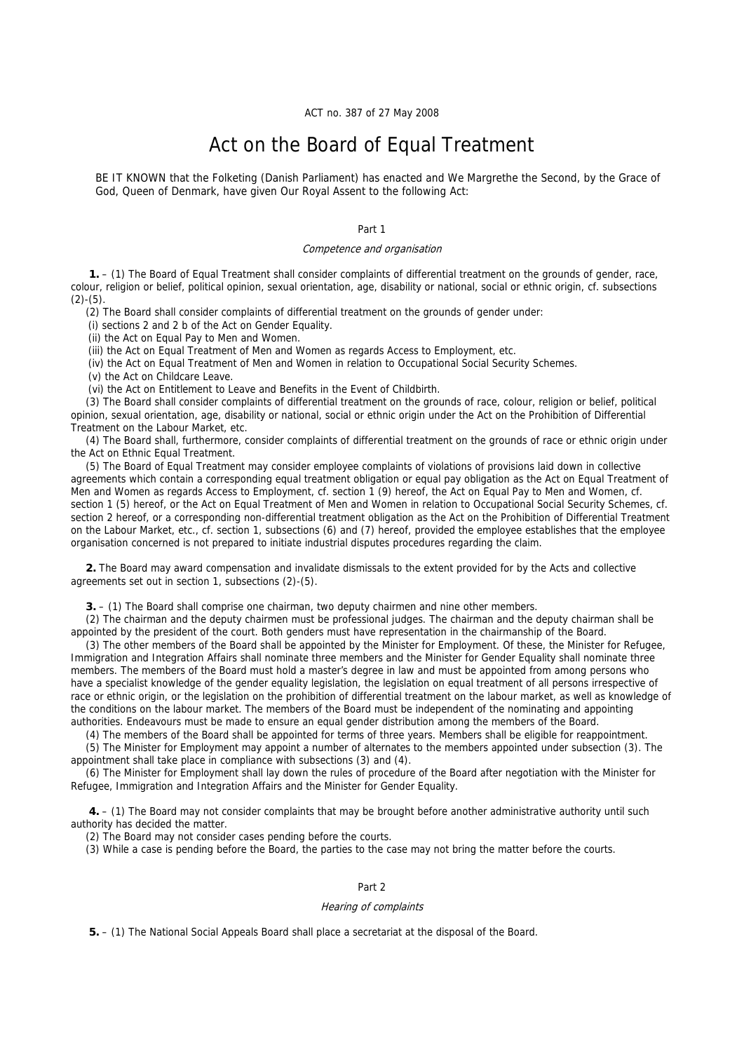ACT no. 387 of 27 May 2008

# Act on the Board of Equal Treatment

BE IT KNOWN that the Folketing (Danish Parliament) has enacted and We Margrethe the Second, by the Grace of God, Queen of Denmark, have given Our Royal Assent to the following Act:

Part 1

#### Competence and organisation

 **1.** – (1) The Board of Equal Treatment shall consider complaints of differential treatment on the grounds of gender, race, colour, religion or belief, political opinion, sexual orientation, age, disability or national, social or ethnic origin, cf. subsections  $(2)-(5)$ .

(2) The Board shall consider complaints of differential treatment on the grounds of gender under:

(i) sections 2 and 2 b of the Act on Gender Equality.

(ii) the Act on Equal Pay to Men and Women.

(iii) the Act on Equal Treatment of Men and Women as regards Access to Employment, etc.

(iv) the Act on Equal Treatment of Men and Women in relation to Occupational Social Security Schemes.

(v) the Act on Childcare Leave.

(vi) the Act on Entitlement to Leave and Benefits in the Event of Childbirth.

(3) The Board shall consider complaints of differential treatment on the grounds of race, colour, religion or belief, political opinion, sexual orientation, age, disability or national, social or ethnic origin under the Act on the Prohibition of Differential Treatment on the Labour Market, etc.

(4) The Board shall, furthermore, consider complaints of differential treatment on the grounds of race or ethnic origin under the Act on Ethnic Equal Treatment.

(5) The Board of Equal Treatment may consider employee complaints of violations of provisions laid down in collective agreements which contain a corresponding equal treatment obligation or equal pay obligation as the Act on Equal Treatment of Men and Women as regards Access to Employment, cf. section 1 (9) hereof, the Act on Equal Pay to Men and Women, cf. section 1 (5) hereof, or the Act on Equal Treatment of Men and Women in relation to Occupational Social Security Schemes, cf. section 2 hereof, or a corresponding non-differential treatment obligation as the Act on the Prohibition of Differential Treatment on the Labour Market, etc., cf. section 1, subsections (6) and (7) hereof, provided the employee establishes that the employee organisation concerned is not prepared to initiate industrial disputes procedures regarding the claim.

**2.** The Board may award compensation and invalidate dismissals to the extent provided for by the Acts and collective agreements set out in section 1, subsections (2)-(5).

**3.** – (1) The Board shall comprise one chairman, two deputy chairmen and nine other members.

(2) The chairman and the deputy chairmen must be professional judges. The chairman and the deputy chairman shall be appointed by the president of the court. Both genders must have representation in the chairmanship of the Board.

(3) The other members of the Board shall be appointed by the Minister for Employment. Of these, the Minister for Refugee, Immigration and Integration Affairs shall nominate three members and the Minister for Gender Equality shall nominate three members. The members of the Board must hold a master's degree in law and must be appointed from among persons who have a specialist knowledge of the gender equality legislation, the legislation on equal treatment of all persons irrespective of race or ethnic origin, or the legislation on the prohibition of differential treatment on the labour market, as well as knowledge of the conditions on the labour market. The members of the Board must be independent of the nominating and appointing authorities. Endeavours must be made to ensure an equal gender distribution among the members of the Board.

(4) The members of the Board shall be appointed for terms of three years. Members shall be eligible for reappointment.

(5) The Minister for Employment may appoint a number of alternates to the members appointed under subsection (3). The appointment shall take place in compliance with subsections (3) and (4).

(6) The Minister for Employment shall lay down the rules of procedure of the Board after negotiation with the Minister for Refugee, Immigration and Integration Affairs and the Minister for Gender Equality.

 **4.** – (1) The Board may not consider complaints that may be brought before another administrative authority until such authority has decided the matter.

(2) The Board may not consider cases pending before the courts.

(3) While a case is pending before the Board, the parties to the case may not bring the matter before the courts.

# Part 2

### Hearing of complaints

 **5.** – (1) The National Social Appeals Board shall place a secretariat at the disposal of the Board.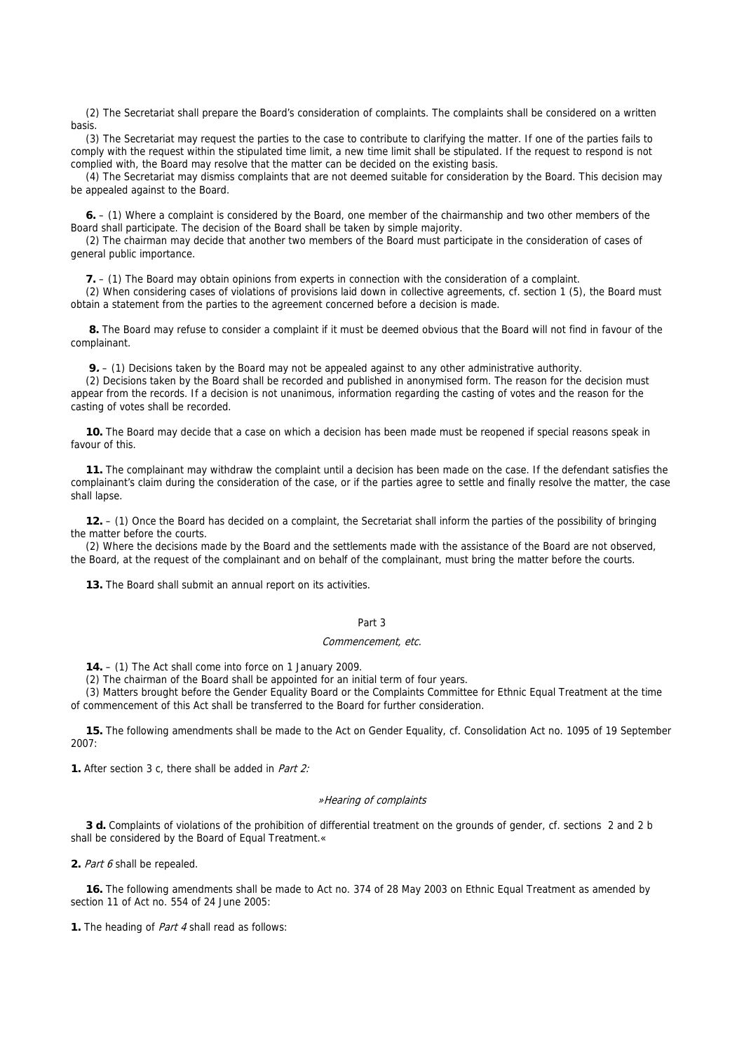(2) The Secretariat shall prepare the Board's consideration of complaints. The complaints shall be considered on a written basis.

(3) The Secretariat may request the parties to the case to contribute to clarifying the matter. If one of the parties fails to comply with the request within the stipulated time limit, a new time limit shall be stipulated. If the request to respond is not complied with, the Board may resolve that the matter can be decided on the existing basis.

(4) The Secretariat may dismiss complaints that are not deemed suitable for consideration by the Board. This decision may be appealed against to the Board.

**6.** – (1) Where a complaint is considered by the Board, one member of the chairmanship and two other members of the Board shall participate. The decision of the Board shall be taken by simple majority.

(2) The chairman may decide that another two members of the Board must participate in the consideration of cases of general public importance.

**7.** – (1) The Board may obtain opinions from experts in connection with the consideration of a complaint.

(2) When considering cases of violations of provisions laid down in collective agreements, cf. section 1 (5), the Board must obtain a statement from the parties to the agreement concerned before a decision is made.

 **8.** The Board may refuse to consider a complaint if it must be deemed obvious that the Board will not find in favour of the complainant.

**9.** – (1) Decisions taken by the Board may not be appealed against to any other administrative authority.

(2) Decisions taken by the Board shall be recorded and published in anonymised form. The reason for the decision must appear from the records. If a decision is not unanimous, information regarding the casting of votes and the reason for the casting of votes shall be recorded.

**10.** The Board may decide that a case on which a decision has been made must be reopened if special reasons speak in favour of this.

**11.** The complainant may withdraw the complaint until a decision has been made on the case. If the defendant satisfies the complainant's claim during the consideration of the case, or if the parties agree to settle and finally resolve the matter, the case shall lapse.

**12.** – (1) Once the Board has decided on a complaint, the Secretariat shall inform the parties of the possibility of bringing the matter before the courts.

(2) Where the decisions made by the Board and the settlements made with the assistance of the Board are not observed, the Board, at the request of the complainant and on behalf of the complainant, must bring the matter before the courts.

**13.** The Board shall submit an annual report on its activities.

# Part 3

#### Commencement, etc.

**14.** – (1) The Act shall come into force on 1 January 2009.

(2) The chairman of the Board shall be appointed for an initial term of four years.

(3) Matters brought before the Gender Equality Board or the Complaints Committee for Ethnic Equal Treatment at the time of commencement of this Act shall be transferred to the Board for further consideration.

**15.** The following amendments shall be made to the Act on Gender Equality, cf. Consolidation Act no. 1095 of 19 September 2007:

**1.** After section 3 c, there shall be added in Part 2:

### »Hearing of complaints

**3 d.** Complaints of violations of the prohibition of differential treatment on the grounds of gender, cf. sections 2 and 2 b shall be considered by the Board of Equal Treatment.«

**2.** Part 6 shall be repealed.

**16.** The following amendments shall be made to Act no. 374 of 28 May 2003 on Ethnic Equal Treatment as amended by section 11 of Act no. 554 of 24 June 2005:

**1.** The heading of *Part 4* shall read as follows: